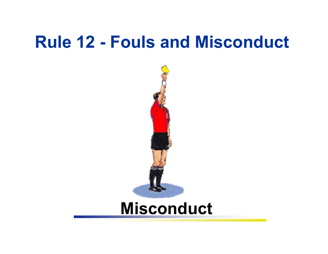# **Rule 12 - Fouls and Misconduct**



## **Misconduct**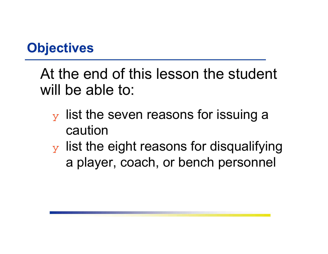#### **Objectives**

At the end of this lesson the student will be able to:

- $\mathbf y$  list the seven reasons for issuing a caution
- $\mathbf y$  list the eight reasons for disqualifying a player, coach, or bench personnel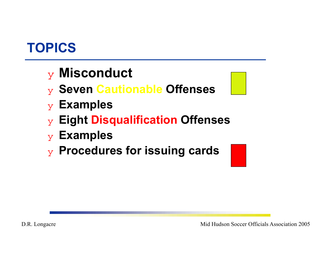## **TOPICS**

#### ❖ **Misconduct**

- ❖ **Seven Cautionable Offenses**
- ❖ **Examples**
- ❖ **Eight Disqualification Offenses**
- ❖ **Examples**
- ❖ **Procedures for issuing cards**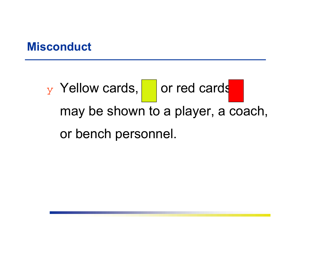#### **Misconduct**

 $\frac{1}{Y}$  Yellow cards, or red cards may be shown to a player, a coach, or bench personnel.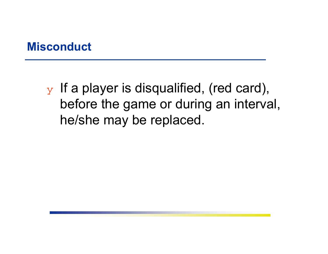#### **Misconduct**

 $\mathbf y$  If a player is disqualified, (red card), before the game or during an interval, he/she may be replaced.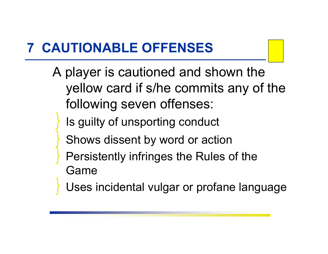## **7 CAUTIONABLE OFFENSES**

- A player is cautioned and shown the yellow card if s/he commits any of the following seven offenses:
	- ❚ Is guilty of unsporting conduct
	- Shows dissent by word or action
	- Persistently infringes the Rules of the Game
	- Uses incidental vulgar or profane language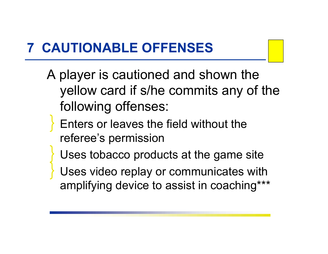## **7 CAUTIONABLE OFFENSES**

- A player is cautioned and shown the yellow card if s/he commits any of the following offenses:
	- Enters or leaves the field without the referee's permission
	- Uses tobacco products at the game site
	- Uses video replay or communicates with amplifying device to assist in coaching\*\*\*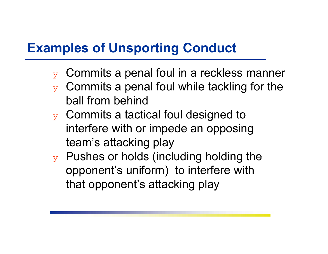#### **Examples of Unsporting Conduct**

- $\mathbf y$  Commits a penal foul in a reckless manner
- $\mathbf y$  Commits a penal foul while tackling for the ball from behind
- $\mathbf y$  Commits a tactical foul designed to interfere with or impede an opposing team's attacking play
- $\mathbf y$  Pushes or holds (including holding the opponent's uniform) to interfere with that opponent's attacking play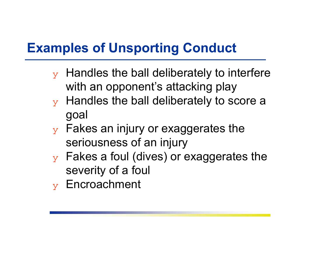### **Examples of Unsporting Conduct**

- $\mathbf y$  Handles the ball deliberately to interfere with an opponent's attacking play
- $\mathbf y$  Handles the ball deliberately to score a goal
- $\mathbf y$  Fakes an injury or exaggerates the seriousness of an injury
- $\mathbf y$  Fakes a foul (dives) or exaggerates the severity of a foul
- ❖ Encroachment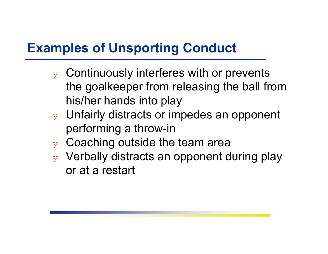### **Examples of Unsporting Conduct**

- $\mathbf y$  Continuously interferes with or prevents the goalkeeper from releasing the ball from his/her hands into play
- $\mathbf y$  Unfairly distracts or impedes an opponent performing a throw-in
- $\mathbf y$  Coaching outside the team area
- ❖ Verbally distracts an opponent during play or at a restart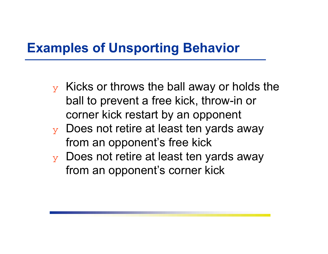#### **Examples of Unsporting Behavior**

- $\overline{y}$  Kicks or throws the ball away or holds the ball to prevent a free kick, throw-in or corner kick restart by an opponent
- $\mathbf y$  Does not retire at least ten yards away from an opponent's free kick
- ❖ Does not retire at least ten yards away from an opponent's corner kick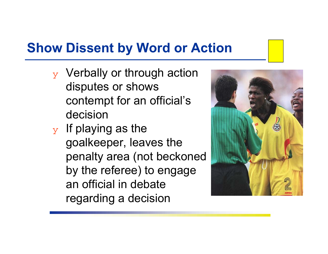#### **Show Dissent by Word or Action**

- ❖ Verbally or through action disputes or shows contempt for an official's decision
- $\mathbf y$  If playing as the goalkeeper, leaves the penalty area (not beckoned by the referee) to engage an official in debate regarding a decision

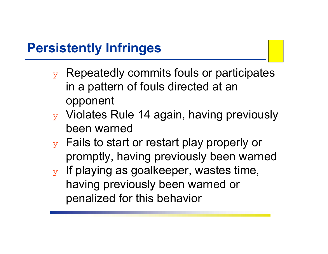#### **Persistently Infringes**

- $\mathbf y$  Repeatedly commits fouls or participates in a pattern of fouls directed at an opponent
- ❖ Violates Rule 14 again, having previously been warned
- $\mathbf y$  Fails to start or restart play properly or promptly, having previously been warned
- $\mathbf y$  If playing as goalkeeper, wastes time, having previously been warned or penalized for this behavior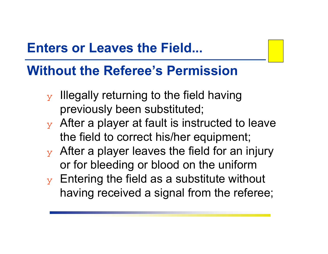#### **Enters or Leaves the Field...**

#### **Without the Referee's Permission**

- $\mathbf y$  Illegally returning to the field having previously been substituted;
- $\mathbf y$  After a player at fault is instructed to leave the field to correct his/her equipment;
- $\mathbf y$  After a player leaves the field for an injury or for bleeding or blood on the uniform
- $\mathbf y$  Entering the field as a substitute without having received a signal from the referee;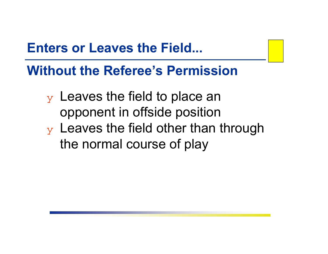#### **Enters or Leaves the Field...**

**Without the Referee's Permission**

 $\mathbf y$  Leaves the field to place an opponent in offside position  $\mathbf v$  Leaves the field other than through the normal course of play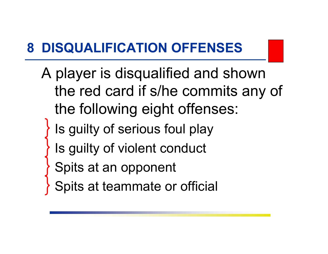## **8 DISQUALIFICATION OFFENSES**

- A player is disqualified and shown the red card if s/he commits any of the following eight offenses:
	- Is guilty of serious foul play
	- Is guilty of violent conduct
	- Spits at an opponent
	- Spits at teammate or official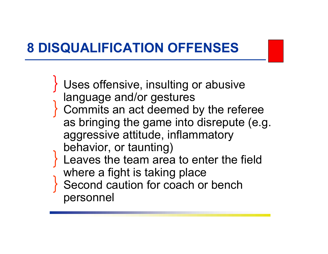## **8 DISQUALIFICATION OFFENSES**

- Uses offensive, insulting or abusive language and/or gestures Commits an act deemed by the referee as bringing the game into disrepute (e.g. aggressive attitude, inflammatory behavior, or taunting) Leaves the team area to enter the field where a fight is taking place Second caution for coach or bench
	- personnel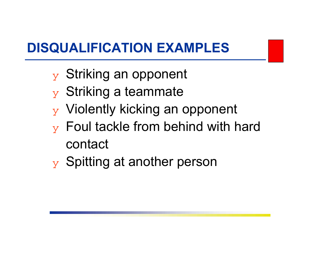## **DISQUALIFICATION EXAMPLES**

- y Striking an opponent
- $\overline{y}$  Striking a teammate
- ❖ Violently kicking an opponent
- $\mathbf y$  Foul tackle from behind with hard contact
- ❖ Spitting at another person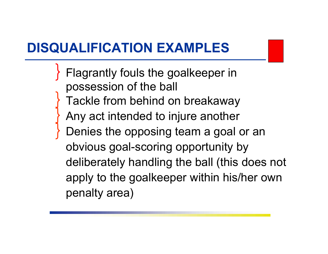## **DISQUALIFICATION EXAMPLES**

Flagrantly fouls the goalkeeper in possession of the ball Tackle from behind on breakaway Any act intended to injure another Denies the opposing team a goal or an obvious goal-scoring opportunity by deliberately handling the ball (this does not apply to the goalkeeper within his/her own penalty area)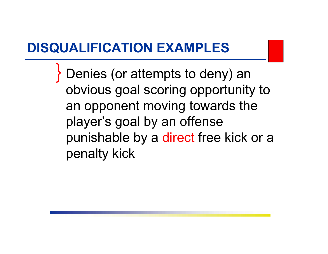#### **DISQUALIFICATION EXAMPLES**

Denies (or attempts to deny) an obvious goal scoring opportunity to an opponent moving towards the player's goal by an offense punishable by a direct free kick or a penalty kick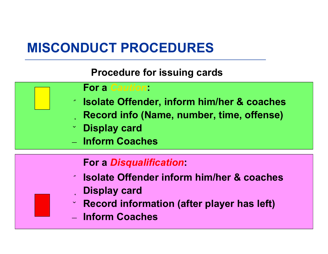## **MISCONDUCT PROCEDURES**

**Procedure for issuing cards**



#### **For a** *Disqualification***:**

- ❶ **Isolate Offender inform him/her & coaches** <sup>❷</sup> **Display card**
- ❸**Record information (after player has left)**
- **Inform Coaches**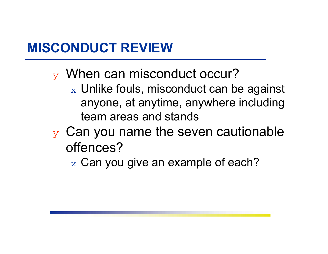- $_{\rm y}$  When can misconduct occur?
	- $_\mathrm{\text{x}}$  Unlike fouls, misconduct can be against anyone, at anytime, anywhere including team areas and stands
- $\mathbf y$  Can you name the seven cautionable offences?
	- $\rm{_{x}}$  Can you give an example of each?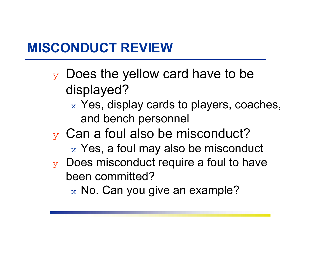- $\mathbf y$  Does the yellow card have to be displayed?
	- $\mathrm{_{x}}$  Yes, display cards to players, coaches, and bench personnel
- $\mathbf y$  Can a foul also be misconduct?
	- $_\mathrm{\text{x}}$  Yes, a foul may also be misconduct
- $\mathbf y$  Does misconduct require a foul to have been committed?
	- $_\mathrm{\text{x}}$  No. Can you give an example?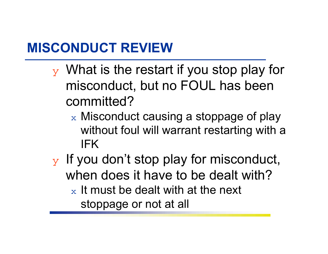- $\mathbf y$  What is the restart if you stop play for misconduct, but no FOUL has been committed?
	- $\rm{_{\rm x}}$  Misconduct causing a stoppage of play  $\rm{_{\rm x}}$ without foul will warrant restarting with a IFK
- $\mathbf y$  If you don't stop play for misconduct, when does it have to be dealt with? $_\mathrm{\text{x}}$  It must be dealt with at the next stoppage or not at all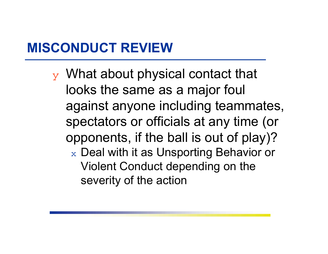$\mathbf y$  What about physical contact that looks the same as a major foul against anyone including teammates, spectators or officials at any time (or opponents, if the ball is out of play)?  $\rm{_{x}}$  Deal with it as Unsporting Behavior or Violent Conduct depending on the severity of the action